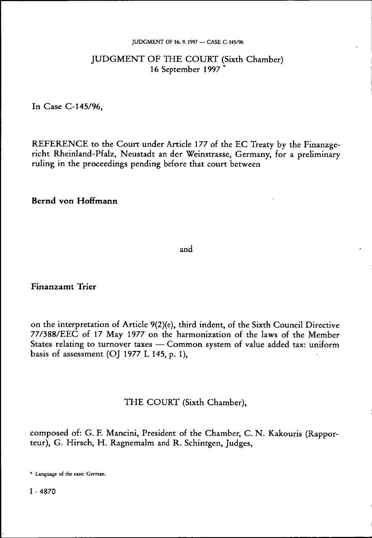### **JUDGMENT OF 16. 9.1997 — CASE C-145/96**

# JUDGMENT OF THE COURT (Sixth Chamber) 16 September 1997<sup>\*</sup>

In Case C-145/96,

REFERENCE to the Court under Article 177 of the EC Treaty by the Finanzgericht Rheinland-Pfalz, Neustadt an der Weinstrasse, Germany, for a preliminary ruling in the proceedings pending before that court between

**Bernd von Hoffmann** 

and

### **Finanzamt Trier**

on the interpretation of Article 9(2)(e), third indent, of the Sixth Council Directive 77/388/EEC of 17 May 1977 on the harmonization of the laws of the Member States relating to turnover taxes — Common system of value added tax: uniform basis of assessment (OJ 1977 L 145, p. 1),

### THE COURT (Sixth Chamber),

composed of: G. F. Mancini, President of the Chamber, C. N. Kakouris (Rapporteur), G. Hirsch, H. Ragnemalm and R. Schintgen, Judges,

<sup>\*</sup> Language of the case: German.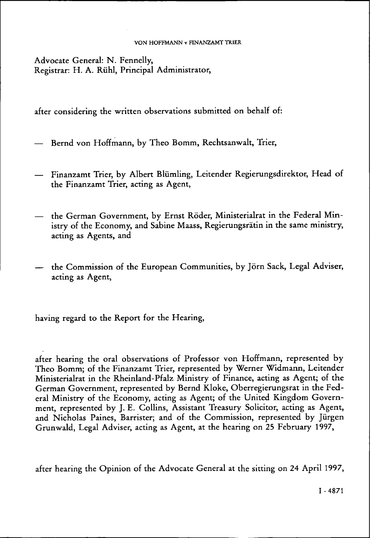### VON HOFFMANN v FINANZAMT TRIER

Advocate General: N. Fennelly, Registrar: H. A. Rühi, Principal Administrator,

after considering the written observations submitted on behalf of:

- Bernd von Hoffmann, by Theo Bomm, Rechtsanwalt, Trier,
- Finanzamt Trier, by Albert Blümling, Leitender Regierungsdirektor, Head of the Finanzamt Trier, acting as Agent,
- the German Government, by Ernst Röder, Ministerialrat in the Federal Ministry of the Economy, and Sabine Maass, Regierungsrätin in the same ministry, acting as Agents, and
- the Commission of the European Communities, by Jörn Sack, Legal Adviser, acting as Agent,

having regard to the Report for the Hearing,

after hearing the oral observations of Professor von Hoffmann, represented by Theo Bomm; of the Finanzamt Trier, represented by Werner Widmann, Leitender Ministerialrat in the Rheinland-Pfalz Ministry of Finance, acting as Agent; of the German Government, represented by Bernd Kloke, Oberregierungsrat in the Federal Ministry of the Economy, acting as Agent; of the United Kingdom Government, represented by J. E. Collins, Assistant Treasury Solicitor, acting as Agent, and Nicholas Paines, Barrister; and of the Commission, represented by Jürgen Grunwald, Legal Adviser, acting as Agent, at the hearing on 25 February 1997,

after hearing the Opinion of the Advocate General at the sitting on 24 April 1997,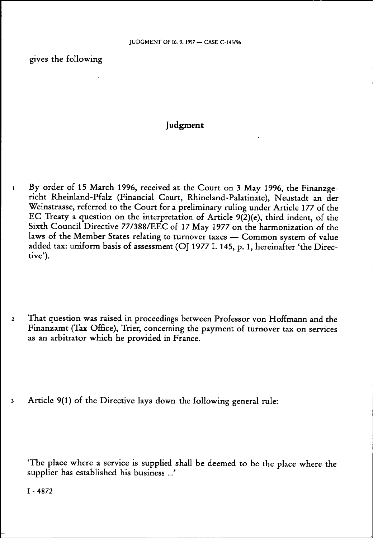gives the following

# **Judgment**

- 1 By order of 15 March 1996, received at the Court on 3 May 1996, the Finanzgericht Rheinland-Pfalz (Financial Court, Rhineland-Palatinate), Neustadt an der Weinstrasse, referred to the Court for a preliminary ruling under Article 177 of the EC Treaty a question on the interpretation of Article 9(2)(e), third indent, of the Sixth Council Directive 77/388/EEC of 17 May 1977 on the harmonization of the laws of the Member States relating to turnover taxes — Common system of value added tax: uniform basis of assessment (OJ 1977 L 145, p. 1, hereinafter 'the Directive').
- 2 That question was raised in proceedings between Professor von Hoffmann and the Finanzamt (Tax Office), Trier, concerning the payment of turnover tax on services as an arbitrator which he provided in France.
- 3 Article 9(1) of the Directive lays down the following general rule:

'The place where a service is supplied shall be deemed to be the place where the supplier has established his business ...'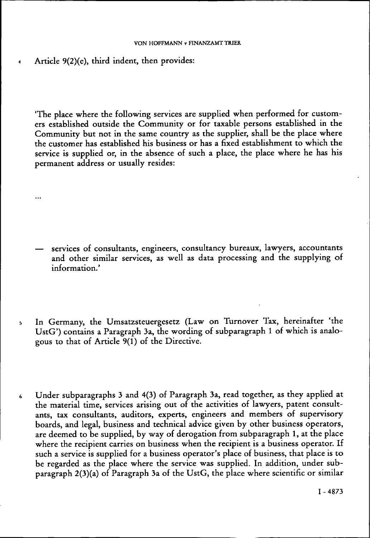### **VON HOFFMANN v FINANZAMT TRIER**

Article  $9(2)(e)$ , third indent, then provides:

 $\ddotsc$ 

'The place where the following services are supplied when performed for customers established outside the Community or for taxable persons established in the Community but not in the same country as the supplier, shall be the place where the customer has established his business or has a fixed establishment to which the service is supplied or, in the absence of such a place, the place where he has his permanent address or usually resides:

- services of consultants, engineers, consultancy bureaux, lawyers, accountants and other similar services, as well as data processing and the supplying of information.'
- 5 In Germany, the Umsatzsteuergesetz (Law on Turnover Tax, hereinafter 'the UstG') contains a Paragraph 3a, the wording of subparagraph 1 of which is analogous to that of Article 9(1) of the Directive.
- 6 Under subparagraphs 3 and 4(3) of Paragraph 3a, read together, as they applied at the material time, services arising out of the activities of lawyers, patent consultants, tax consultants, auditors, experts, engineers and members of supervisory boards, and legal, business and technical advice given by other business operators, are deemed to be supplied, by way of derogation from subparagraph 1, at the place where the recipient carries on business when the recipient is a business operator. If such a service is supplied for a business operator's place of business, that place is to be regarded as the place where the service was supplied. In addition, under subparagraph 2(3)(a) of Paragraph 3a of the UstG, the place where scientific or similar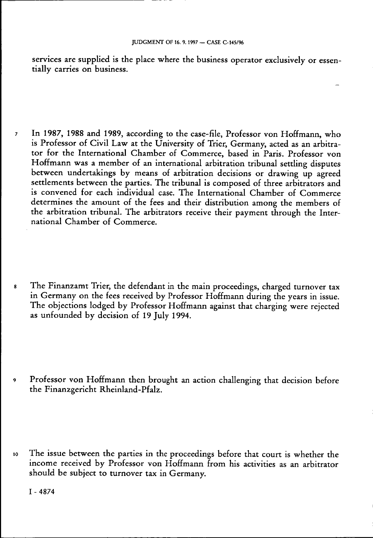services are supplied is the place where the business operator exclusively or essentially carries on business.

- 7 In 1987, 1988 and 1989, according to the case-file, Professor von Hoffmann, who is Professor of Civil Law at the University of Trier, Germany, acted as an arbitrator for the International Chamber of Commerce, based in Paris. Professor von Hoffmann was a member of an international arbitration tribunal settling disputes between undertakings by means of arbitration decisions or drawing up agreed settlements between the parties. The tribunal is composed of three arbitrators and is convened for each individual case. The International Chamber of Commerce determines the amount of the fees and their distribution among the members of the arbitration tribunal. The arbitrators receive their payment through the International Chamber of Commerce.
- s The Finanzamt Trier, the defendant in the main proceedings, charged turnover tax in Germany on the fees received by Professor Hoffmann during the years in issue. The objections lodged by Professor Hoffmann against that charging were rejected as unfounded by decision of 19 July 1994.
- 9 Professor von Hoffmann then brought an action challenging that decision before the Finanzgericht Rheinland-Pfalz.

io The issue between the parties in the proceedings before that court is whether the income received by Professor von Hoffmann from his activities as an arbitrator should be subject to turnover tax in Germany.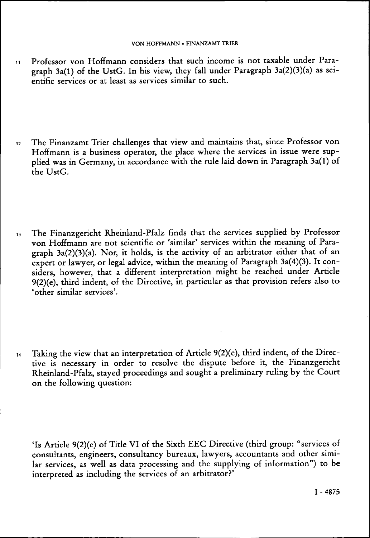- 11 Professor von Hoffmann considers that such income is not taxable under Paragraph 3a(l) of the UstG. In his view, they fall under Paragraph 3a(2)(3)(a) as scientific services or at least as services similar to such.
- 12 The Finanzamt Trier challenges that view and maintains that, since Professor von Hoffmann is a business operator, the place where the services in issue were supplied was in Germany, in accordance with the rule laid down in Paragraph 3a(l) of the UstG.
- 1 3 The Finanzgericht Rheinland-Pfalz finds that the services supplied by Professor von Hoffmann are not scientific or 'similar' services within the meaning of Paragraph  $3a(2)(3)(a)$ . Nor, it holds, is the activity of an arbitrator either that of an expert or lawyer, or legal advice, within the meaning of Paragraph 3a(4)(3). It considers, however, that a different interpretation might be reached under Article 9(2)(e), third indent, of the Directive, in particular as that provision refers also to 'other similar services'.
- $14$  Taking the view that an interpretation of Article 9(2)(e), third indent, of the Directive is necessary in order to resolve the dispute before it, the Finanzgericht Rheinland-Pfalz, stayed proceedings and sought a preliminary ruling by the Court on the following question:

'Is Article 9(2)(e) of Title VI of the Sixth EEC Directive (third group: "services of consultants, engineers, consultancy bureaux, lawyers, accountants and other similar services, as well as data processing and the supplying of information") to be interpreted as including the services of an arbitrator?'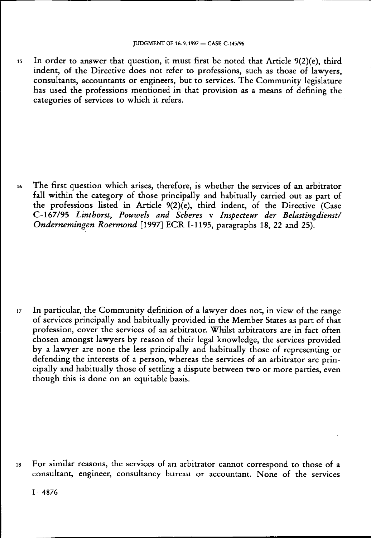is In order to answer that question, it must first be noted that Article 9(2)(e), third indent, of the Directive does not refer to professions, such as those of lawyers, consultants, accountants or engineers, but to services. The Community legislature has used the professions mentioned in that provision as a means of defining the categories of services to which it refers.

i6 The first question which arises, therefore, is whether the services of an arbitrator fall within the category of those principally and habitually carried out as part of the professions listed in Article 9(2)(e), third indent, of the Directive (Case C-167/95 *Linthorst, Pouwels and Scheres* v *Inspecteur der Belastingdienst/ Ondernemingen Roermond* [1997] ECR 1-1195, paragraphs 18, 22 and 25).

iz In particular, the Community definition of a lawyer does not, in view of the range of services principally and habitually provided in the Member States as part of that profession, cover the services of an arbitrator. Whilst arbitrators are in fact often chosen amongst lawyers by reason of their legal knowledge, the services provided by a lawyer are none the less principally and habitually those of representing or defending the interests of a person, whereas the services of an arbitrator are principally and habitually those of settling a dispute between two or more parties, even though this is done on an equitable basis.

is For similar reasons, the services of an arbitrator cannot correspond to those of a consultant, engineer, consultancy bureau or accountant. None of the services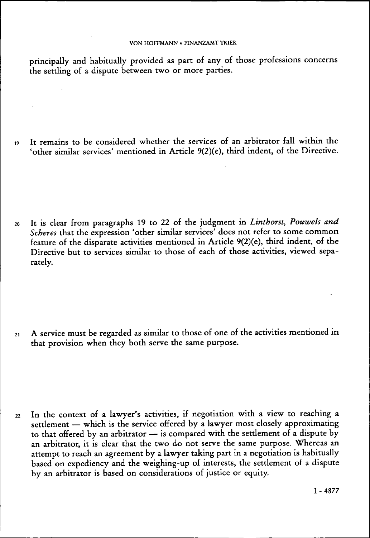principally and habitually provided as part of any of those professions concerns the settling of a dispute between two or more parties.

i9 It remains to be considered whether the services of an arbitrator fall within the 'other similar services' mentioned in Article 9(2)(e), third indent, of the Directive.

20 It is clear from paragraphs 19 to 22 of the judgment in *Linthorst, Pouwels and Scheres* that the expression 'other similar services' does not refer to some common feature of the disparate activities mentioned in Article 9(2)(e), third indent, of the Directive but to services similar to those of each of those activities, viewed separately.

2i A service must be regarded as similar to those of one of the activities mentioned in that provision when they both serve the same purpose.

22 In the context of a lawyer's activities, if negotiation with a view to reaching a settlement — which is the service offered by a lawyer most closely approximating to that offered by an arbitrator — is compared with the settlement of a dispute by an arbitrator, it is clear that the two do not serve the same purpose. Whereas an attempt to reach an agreement by a lawyer taking part in a negotiation is habitually based on expediency and the weighing-up of interests, the settlement of a dispute by an arbitrator is based on considerations of justice or equity.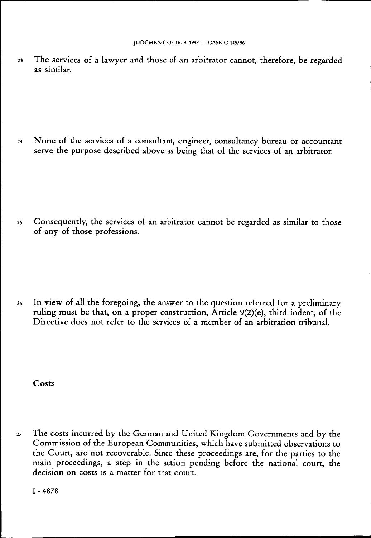23 The services of a lawyer and those of an arbitrator cannot, therefore, be regarded as similar.

24 None of the services of a consultant, engineer, consultancy bureau or accountant serve the purpose described above as being that of the services of an arbitrator.

25 Consequently, the services of an arbitrator cannot be regarded as similar to those of any of those professions.

26 In view of all the foregoing, the answer to the question referred for a preliminary ruling must be that, on a proper construction, Article 9(2)(e), third indent, of the Directive does not refer to the services of a member of an arbitration tribunal.

### **Costs**

27 The costs incurred by the German and United Kingdom Governments and by the Commission of the European Communities, which have submitted observations to the Court, are not recoverable. Since these proceedings are, for the parties to the main proceedings, a step in the action pending before the national court, the decision on costs is a matter for that court.